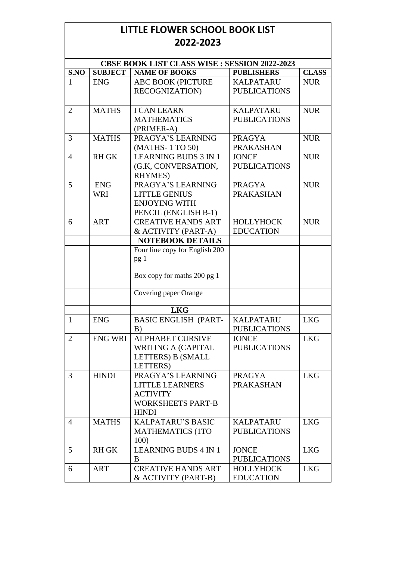## **LITTLE FLOWER SCHOOL BOOK LIST 2022-2023**

|                | <b>CBSE BOOK LIST CLASS WISE : SESSION 2022-2023</b> |                                                                                                            |                                         |              |  |
|----------------|------------------------------------------------------|------------------------------------------------------------------------------------------------------------|-----------------------------------------|--------------|--|
| S.NO           | <b>SUBJECT</b>                                       | <b>NAME OF BOOKS</b>                                                                                       | <b>PUBLISHERS</b>                       | <b>CLASS</b> |  |
| 1              | <b>ENG</b>                                           | <b>ABC BOOK (PICTURE</b>                                                                                   | <b>KALPATARU</b>                        | <b>NUR</b>   |  |
|                |                                                      | RECOGNIZATION)                                                                                             | <b>PUBLICATIONS</b>                     |              |  |
| $\overline{2}$ | <b>MATHS</b>                                         | <b>I CAN LEARN</b>                                                                                         | <b>KALPATARU</b>                        | <b>NUR</b>   |  |
|                |                                                      | <b>MATHEMATICS</b><br>(PRIMER-A)                                                                           | <b>PUBLICATIONS</b>                     |              |  |
| 3              | <b>MATHS</b>                                         | PRAGYA'S LEARNING                                                                                          | <b>PRAGYA</b>                           | <b>NUR</b>   |  |
|                |                                                      | (MATHS-1 TO 50)                                                                                            | <b>PRAKASHAN</b>                        |              |  |
| $\overline{4}$ | <b>RH GK</b>                                         | <b>LEARNING BUDS 3 IN 1</b><br>(G.K., CONVERSATION,<br>RHYMES)                                             | <b>JONCE</b><br><b>PUBLICATIONS</b>     | <b>NUR</b>   |  |
| 5              | <b>ENG</b><br><b>WRI</b>                             | PRAGYA'S LEARNING<br><b>LITTLE GENIUS</b><br><b>ENJOYING WITH</b><br>PENCIL (ENGLISH B-1)                  | <b>PRAGYA</b><br><b>PRAKASHAN</b>       | <b>NUR</b>   |  |
| 6              | <b>ART</b>                                           | <b>CREATIVE HANDS ART</b><br>& ACTIVITY (PART-A)                                                           | <b>HOLLYHOCK</b><br><b>EDUCATION</b>    | <b>NUR</b>   |  |
|                |                                                      | <b>NOTEBOOK DETAILS</b>                                                                                    |                                         |              |  |
|                |                                                      | Four line copy for English 200<br>pg <sub>1</sub>                                                          |                                         |              |  |
|                |                                                      | Box copy for maths 200 pg 1                                                                                |                                         |              |  |
|                |                                                      | Covering paper Orange                                                                                      |                                         |              |  |
|                |                                                      | <b>LKG</b>                                                                                                 |                                         |              |  |
| $\mathbf{1}$   | <b>ENG</b>                                           | <b>BASIC ENGLISH (PART-</b><br>B)                                                                          | <b>KALPATARU</b><br><b>PUBLICATIONS</b> | <b>LKG</b>   |  |
| $\overline{2}$ | <b>ENG WRI</b>                                       | <b>ALPHABET CURSIVE</b><br><b>WRITING A (CAPITAL</b><br>LETTERS) B (SMALL<br>LETTERS)                      | <b>JONCE</b><br><b>PUBLICATIONS</b>     | <b>LKG</b>   |  |
| 3              | <b>HINDI</b>                                         | PRAGYA'S LEARNING<br><b>LITTLE LEARNERS</b><br><b>ACTIVITY</b><br><b>WORKSHEETS PART-B</b><br><b>HINDI</b> | <b>PRAGYA</b><br><b>PRAKASHAN</b>       | <b>LKG</b>   |  |
| 4              | <b>MATHS</b>                                         | <b>KALPATARU'S BASIC</b><br><b>MATHEMATICS (1TO</b><br>100)                                                | <b>KALPATARU</b><br><b>PUBLICATIONS</b> | <b>LKG</b>   |  |
| 5 <sup>5</sup> | <b>RH GK</b>                                         | <b>LEARNING BUDS 4 IN 1</b><br>B                                                                           | <b>JONCE</b><br><b>PUBLICATIONS</b>     | <b>LKG</b>   |  |
| 6              | <b>ART</b>                                           | <b>CREATIVE HANDS ART</b><br>& ACTIVITY (PART-B)                                                           | <b>HOLLYHOCK</b><br><b>EDUCATION</b>    | <b>LKG</b>   |  |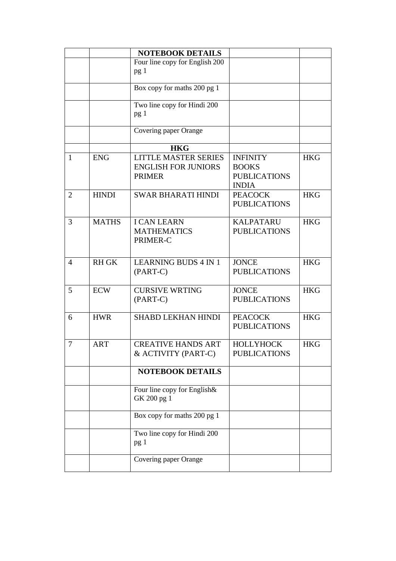|                |              | <b>NOTEBOOK DETAILS</b>                                                    |                                                                        |            |
|----------------|--------------|----------------------------------------------------------------------------|------------------------------------------------------------------------|------------|
|                |              | Four line copy for English 200                                             |                                                                        |            |
|                |              | pg <sub>1</sub>                                                            |                                                                        |            |
|                |              | $\overline{Box}$ copy for maths 200 pg 1                                   |                                                                        |            |
|                |              | Two line copy for Hindi 200                                                |                                                                        |            |
|                |              | pg <sub>1</sub>                                                            |                                                                        |            |
|                |              | Covering paper Orange                                                      |                                                                        |            |
|                |              | <b>HKG</b>                                                                 |                                                                        |            |
| $\mathbf{1}$   | <b>ENG</b>   | <b>LITTLE MASTER SERIES</b><br><b>ENGLISH FOR JUNIORS</b><br><b>PRIMER</b> | <b>INFINITY</b><br><b>BOOKS</b><br><b>PUBLICATIONS</b><br><b>INDIA</b> | <b>HKG</b> |
| $\overline{2}$ | <b>HINDI</b> | <b>SWAR BHARATI HINDI</b>                                                  | <b>PEACOCK</b><br><b>PUBLICATIONS</b>                                  | <b>HKG</b> |
| 3              | <b>MATHS</b> | <b>I CAN LEARN</b><br><b>MATHEMATICS</b><br>PRIMER-C                       | <b>KALPATARU</b><br><b>PUBLICATIONS</b>                                | <b>HKG</b> |
| 4              | <b>RH GK</b> | <b>LEARNING BUDS 4 IN 1</b><br>$(PART-C)$                                  | <b>JONCE</b><br><b>PUBLICATIONS</b>                                    | <b>HKG</b> |
| 5              | <b>ECW</b>   | <b>CURSIVE WRTING</b><br>$(PART-C)$                                        | <b>JONCE</b><br><b>PUBLICATIONS</b>                                    | <b>HKG</b> |
| 6              | <b>HWR</b>   | <b>SHABD LEKHAN HINDI</b>                                                  | <b>PEACOCK</b><br><b>PUBLICATIONS</b>                                  | <b>HKG</b> |
| $\overline{7}$ | <b>ART</b>   | <b>CREATIVE HANDS ART</b><br>& ACTIVITY (PART-C)                           | HOLLYHOCK<br><b>PUBLICATIONS</b>                                       | <b>HKG</b> |
|                |              | <b>NOTEBOOK DETAILS</b>                                                    |                                                                        |            |
|                |              | Four line copy for English&<br>GK 200 pg 1                                 |                                                                        |            |
|                |              | Box copy for maths 200 pg 1                                                |                                                                        |            |
|                |              | Two line copy for Hindi 200<br>pg 1                                        |                                                                        |            |
|                |              | Covering paper Orange                                                      |                                                                        |            |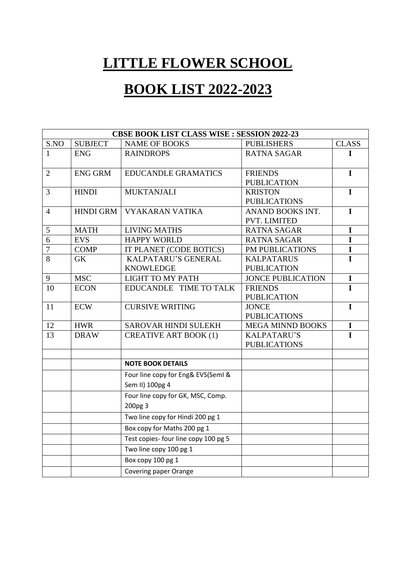## **LITTLE FLOWER SCHOOL**

## **BOOK LIST 2022-2023**

|                | <b>CBSE BOOK LIST CLASS WISE : SESSION 2022-23</b> |                                                       |                                         |              |  |
|----------------|----------------------------------------------------|-------------------------------------------------------|-----------------------------------------|--------------|--|
| S.NO           | <b>SUBJECT</b>                                     | <b>NAME OF BOOKS</b>                                  | <b>PUBLISHERS</b>                       | <b>CLASS</b> |  |
| $\mathbf{1}$   | <b>ENG</b>                                         | <b>RAINDROPS</b>                                      | <b>RATNA SAGAR</b>                      | T            |  |
| $\overline{2}$ | <b>ENG GRM</b>                                     | <b>EDUCANDLE GRAMATICS</b>                            | <b>FRIENDS</b><br><b>PUBLICATION</b>    | $\mathbf I$  |  |
| 3              | <b>HINDI</b>                                       | <b>MUKTANJALI</b>                                     | <b>KRISTON</b><br><b>PUBLICATIONS</b>   | $\mathbf I$  |  |
| 4              | <b>HINDI GRM</b>                                   | <b>VYAKARAN VATIKA</b>                                | ANAND BOOKS INT.<br>PVT. LIMITED        | $\mathbf I$  |  |
| 5              | <b>MATH</b>                                        | <b>LIVING MATHS</b>                                   | <b>RATNA SAGAR</b>                      | $\mathbf I$  |  |
| 6              | <b>EVS</b>                                         | <b>HAPPY WORLD</b>                                    | <b>RATNA SAGAR</b>                      | $\mathbf I$  |  |
| $\tau$         | <b>COMP</b>                                        | IT PLANET (CODE BOTICS)                               | PM PUBLICATIONS                         | $\mathbf I$  |  |
| 8              | <b>GK</b>                                          | KALPATARU'S GENERAL<br><b>KNOWLEDGE</b>               | <b>KALPATARUS</b><br><b>PUBLICATION</b> | $\mathbf I$  |  |
| 9              | <b>MSC</b>                                         | <b>LIGHT TO MY PATH</b>                               | <b>JONCE PUBLICATION</b>                | $\mathbf I$  |  |
| 10             | <b>ECON</b>                                        | EDUCANDLE TIME TO TALK                                | <b>FRIENDS</b><br><b>PUBLICATION</b>    | $\mathbf I$  |  |
| 11             | <b>ECW</b>                                         | <b>CURSIVE WRITING</b>                                | <b>JONCE</b><br><b>PUBLICATIONS</b>     | $\mathbf I$  |  |
| 12             | <b>HWR</b>                                         | SAROVAR HINDI SULEKH                                  | MEGA MINND BOOKS                        | I            |  |
| 13             | <b>DRAW</b>                                        | <b>CREATIVE ART BOOK (1)</b>                          | KALPATARU'S<br><b>PUBLICATIONS</b>      | $\mathbf I$  |  |
|                |                                                    | <b>NOTE BOOK DETAILS</b>                              |                                         |              |  |
|                |                                                    | Four line copy for Eng& EVS(SemI &<br>Sem II) 100pg 4 |                                         |              |  |
|                |                                                    | Four line copy for GK, MSC, Comp.                     |                                         |              |  |
|                |                                                    | 200pg 3                                               |                                         |              |  |
|                |                                                    | Two line copy for Hindi 200 pg 1                      |                                         |              |  |
|                |                                                    | Box copy for Maths 200 pg 1                           |                                         |              |  |
|                |                                                    | Test copies- four line copy 100 pg 5                  |                                         |              |  |
|                |                                                    | Two line copy 100 pg 1                                |                                         |              |  |
|                |                                                    | Box copy 100 pg 1                                     |                                         |              |  |
|                |                                                    | Covering paper Orange                                 |                                         |              |  |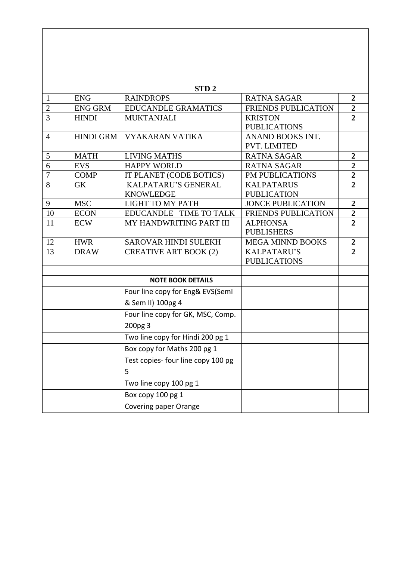|                |                  | STD <sub>2</sub>                   |                            |                  |
|----------------|------------------|------------------------------------|----------------------------|------------------|
| $\mathbf{1}$   | <b>ENG</b>       | <b>RAINDROPS</b>                   | <b>RATNA SAGAR</b>         | $\overline{2}$   |
| $\overline{2}$ | <b>ENG GRM</b>   | <b>EDUCANDLE GRAMATICS</b>         | <b>FRIENDS PUBLICATION</b> | $\overline{2}$   |
| 3              | <b>HINDI</b>     | <b>MUKTANJALI</b>                  | <b>KRISTON</b>             | $\overline{2}$   |
|                |                  |                                    | <b>PUBLICATIONS</b>        |                  |
| $\overline{4}$ | <b>HINDI GRM</b> | <b>VYAKARAN VATIKA</b>             | ANAND BOOKS INT.           |                  |
|                |                  |                                    | <b>PVT. LIMITED</b>        |                  |
| 5              | <b>MATH</b>      | <b>LIVING MATHS</b>                | <b>RATNA SAGAR</b>         | $\overline{2}$   |
| 6              | <b>EVS</b>       | <b>HAPPY WORLD</b>                 | <b>RATNA SAGAR</b>         | $\overline{2}$   |
| $\overline{7}$ | <b>COMP</b>      | IT PLANET (CODE BOTICS)            | PM PUBLICATIONS            | $\overline{2}$   |
| 8              | <b>GK</b>        | KALPATARU'S GENERAL                | <b>KALPATARUS</b>          | $\overline{2}$   |
|                |                  | <b>KNOWLEDGE</b>                   | <b>PUBLICATION</b>         |                  |
| 9              | <b>MSC</b>       | <b>LIGHT TO MY PATH</b>            | <b>JONCE PUBLICATION</b>   | $\overline{2}$   |
| 10             | <b>ECON</b>      | EDUCANDLE TIME TO TALK             | FRIENDS PUBLICATION        | $\overline{2}$   |
| 11             | <b>ECW</b>       | MY HANDWRITING PART III            | <b>ALPHONSA</b>            | $\overline{2}$   |
|                |                  |                                    | <b>PUBLISHERS</b>          |                  |
| 12             | <b>HWR</b>       | <b>SAROVAR HINDI SULEKH</b>        | <b>MEGA MINND BOOKS</b>    | $\boldsymbol{2}$ |
| 13             | <b>DRAW</b>      | <b>CREATIVE ART BOOK (2)</b>       | KALPATARU'S                | $\overline{2}$   |
|                |                  |                                    | <b>PUBLICATIONS</b>        |                  |
|                |                  |                                    |                            |                  |
|                |                  | <b>NOTE BOOK DETAILS</b>           |                            |                  |
|                |                  | Four line copy for Eng& EVS(SemI   |                            |                  |
|                |                  | & Sem II) 100pg 4                  |                            |                  |
|                |                  | Four line copy for GK, MSC, Comp.  |                            |                  |
|                |                  | 200pg 3                            |                            |                  |
|                |                  | Two line copy for Hindi 200 pg 1   |                            |                  |
|                |                  | Box copy for Maths 200 pg 1        |                            |                  |
|                |                  | Test copies- four line copy 100 pg |                            |                  |
|                |                  | 5                                  |                            |                  |
|                |                  | Two line copy 100 pg 1             |                            |                  |
|                |                  | Box copy 100 pg 1                  |                            |                  |
|                |                  | Covering paper Orange              |                            |                  |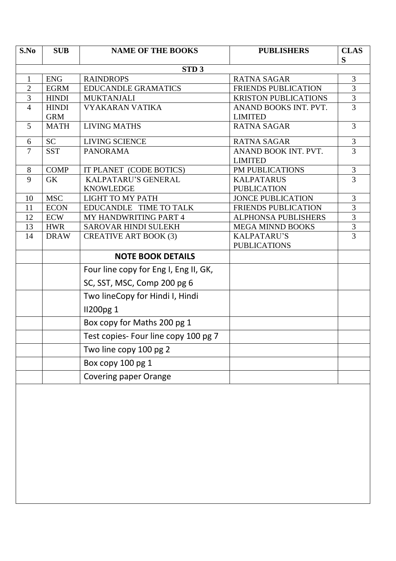| S.No           | <b>SUB</b>   | <b>NAME OF THE BOOKS</b>              | <b>PUBLISHERS</b>           | <b>CLAS</b><br>S |
|----------------|--------------|---------------------------------------|-----------------------------|------------------|
|                |              | STD <sub>3</sub>                      |                             |                  |
| $\mathbf{1}$   | <b>ENG</b>   | <b>RAINDROPS</b>                      | <b>RATNA SAGAR</b>          | 3                |
| 2              | <b>EGRM</b>  | <b>EDUCANDLE GRAMATICS</b>            | <b>FRIENDS PUBLICATION</b>  | 3                |
| 3              | <b>HINDI</b> | <b>MUKTANJALI</b>                     | <b>KRISTON PUBLICATIONS</b> | 3                |
| $\overline{4}$ | <b>HINDI</b> | <b>VYAKARAN VATIKA</b>                | ANAND BOOKS INT. PVT.       | 3                |
|                | <b>GRM</b>   |                                       | <b>LIMITED</b>              |                  |
| 5              | <b>MATH</b>  | <b>LIVING MATHS</b>                   | <b>RATNA SAGAR</b>          | 3                |
| 6              | <b>SC</b>    | LIVING SCIENCE                        | <b>RATNA SAGAR</b>          | 3                |
| $\overline{7}$ | <b>SST</b>   | <b>PANORAMA</b>                       | ANAND BOOK INT. PVT.        | 3                |
|                |              |                                       | <b>LIMITED</b>              |                  |
| 8              | <b>COMP</b>  | IT PLANET (CODE BOTICS)               | PM PUBLICATIONS             | $\mathfrak{Z}$   |
| 9              | <b>GK</b>    | KALPATARU'S GENERAL                   | <b>KALPATARUS</b>           | 3                |
|                |              | <b>KNOWLEDGE</b>                      | <b>PUBLICATION</b>          |                  |
| 10             | <b>MSC</b>   | <b>LIGHT TO MY PATH</b>               | <b>JONCE PUBLICATION</b>    | $\mathfrak{Z}$   |
| 11             | <b>ECON</b>  | EDUCANDLE TIME TO TALK                | <b>FRIENDS PUBLICATION</b>  | 3                |
| 12             | ECW          | <b>MY HANDWRITING PART 4</b>          | <b>ALPHONSA PUBLISHERS</b>  | 3                |
| 13             | <b>HWR</b>   | SAROVAR HINDI SULEKH                  | <b>MEGA MINND BOOKS</b>     | $\overline{3}$   |
| 14             | <b>DRAW</b>  | <b>CREATIVE ART BOOK (3)</b>          | KALPATARU'S                 | $\overline{3}$   |
|                |              |                                       | <b>PUBLICATIONS</b>         |                  |
|                |              | <b>NOTE BOOK DETAILS</b>              |                             |                  |
|                |              | Four line copy for Eng I, Eng II, GK, |                             |                  |
|                |              | SC, SST, MSC, Comp 200 pg 6           |                             |                  |
|                |              | Two lineCopy for Hindi I, Hindi       |                             |                  |
|                |              | <b>II200pg 1</b>                      |                             |                  |
|                |              | Box copy for Maths 200 pg 1           |                             |                  |
|                |              | Test copies- Four line copy 100 pg 7  |                             |                  |
|                |              | Two line copy 100 pg 2                |                             |                  |
|                |              | Box copy 100 pg 1                     |                             |                  |
|                |              | <b>Covering paper Orange</b>          |                             |                  |
|                |              |                                       |                             |                  |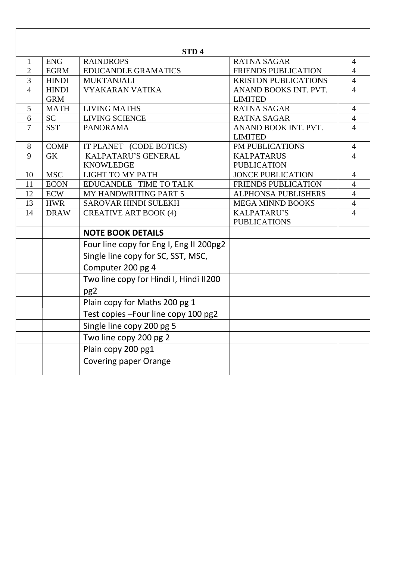|                |              | STD <sub>4</sub>                        |                             |                |
|----------------|--------------|-----------------------------------------|-----------------------------|----------------|
| 1              | <b>ENG</b>   | <b>RAINDROPS</b>                        | <b>RATNA SAGAR</b>          | $\overline{4}$ |
| $\overline{2}$ | <b>EGRM</b>  | <b>EDUCANDLE GRAMATICS</b>              | FRIENDS PUBLICATION         | $\overline{4}$ |
| $\overline{3}$ | <b>HINDI</b> | <b>MUKTANJALI</b>                       | <b>KRISTON PUBLICATIONS</b> | $\overline{4}$ |
| $\overline{4}$ | <b>HINDI</b> | <b>VYAKARAN VATIKA</b>                  | ANAND BOOKS INT. PVT.       | $\overline{4}$ |
|                | <b>GRM</b>   |                                         | <b>LIMITED</b>              |                |
| 5              | <b>MATH</b>  | <b>LIVING MATHS</b>                     | <b>RATNA SAGAR</b>          | $\overline{4}$ |
| 6              | <b>SC</b>    | <b>LIVING SCIENCE</b>                   | <b>RATNA SAGAR</b>          | $\overline{4}$ |
| $\overline{7}$ | <b>SST</b>   | <b>PANORAMA</b>                         | ANAND BOOK INT. PVT.        | $\overline{4}$ |
|                |              |                                         | <b>LIMITED</b>              |                |
| 8              | <b>COMP</b>  | IT PLANET (CODE BOTICS)                 | PM PUBLICATIONS             | $\overline{4}$ |
| 9              | <b>GK</b>    | KALPATARU'S GENERAL                     | <b>KALPATARUS</b>           | $\overline{4}$ |
|                |              | <b>KNOWLEDGE</b>                        | <b>PUBLICATION</b>          |                |
| 10             | <b>MSC</b>   | <b>LIGHT TO MY PATH</b>                 | <b>JONCE PUBLICATION</b>    | $\overline{4}$ |
| 11             | <b>ECON</b>  | EDUCANDLE TIME TO TALK                  | FRIENDS PUBLICATION         | $\overline{4}$ |
| 12             | <b>ECW</b>   | MY HANDWRITING PART 5                   | ALPHONSA PUBLISHERS         | $\overline{4}$ |
| 13             | <b>HWR</b>   | SAROVAR HINDI SULEKH                    | <b>MEGA MINND BOOKS</b>     | $\overline{4}$ |
| 14             | <b>DRAW</b>  | <b>CREATIVE ART BOOK (4)</b>            | <b>KALPATARU'S</b>          | $\overline{4}$ |
|                |              |                                         | <b>PUBLICATIONS</b>         |                |
|                |              | <b>NOTE BOOK DETAILS</b>                |                             |                |
|                |              | Four line copy for Eng I, Eng II 200pg2 |                             |                |
|                |              | Single line copy for SC, SST, MSC,      |                             |                |
|                |              | Computer 200 pg 4                       |                             |                |
|                |              | Two line copy for Hindi I, Hindi II200  |                             |                |
|                |              | pg <sub>2</sub>                         |                             |                |
|                |              | Plain copy for Maths 200 pg 1           |                             |                |
|                |              | Test copies - Four line copy 100 pg2    |                             |                |
|                |              | Single line copy 200 pg 5               |                             |                |
|                |              | Two line copy 200 pg 2                  |                             |                |
|                |              | Plain copy 200 pg1                      |                             |                |
|                |              | <b>Covering paper Orange</b>            |                             |                |

 $\overline{\phantom{a}}$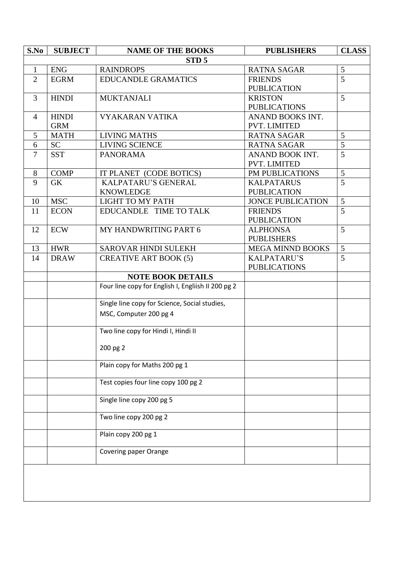| S.No           | <b>SUBJECT</b> | <b>NAME OF THE BOOKS</b>                           | <b>PUBLISHERS</b>        | <b>CLASS</b>   |
|----------------|----------------|----------------------------------------------------|--------------------------|----------------|
|                |                | STD <sub>5</sub>                                   |                          |                |
| $\mathbf{1}$   | <b>ENG</b>     | <b>RAINDROPS</b>                                   | <b>RATNA SAGAR</b>       | 5              |
| 2              | <b>EGRM</b>    | <b>EDUCANDLE GRAMATICS</b>                         | <b>FRIENDS</b>           | $\overline{5}$ |
|                |                |                                                    | <b>PUBLICATION</b>       |                |
| 3              | <b>HINDI</b>   | <b>MUKTANJALI</b>                                  | <b>KRISTON</b>           | 5              |
|                |                |                                                    | <b>PUBLICATIONS</b>      |                |
| 4              | <b>HINDI</b>   | <b>VYAKARAN VATIKA</b>                             | ANAND BOOKS INT.         |                |
|                | <b>GRM</b>     |                                                    | PVT. LIMITED             |                |
| 5              | <b>MATH</b>    | <b>LIVING MATHS</b>                                | <b>RATNA SAGAR</b>       | 5              |
| 6              | <b>SC</b>      | <b>LIVING SCIENCE</b>                              | <b>RATNA SAGAR</b>       | 5              |
| $\overline{7}$ | <b>SST</b>     | <b>PANORAMA</b>                                    | ANAND BOOK INT.          | 5              |
|                |                |                                                    | PVT. LIMITED             |                |
| 8              | <b>COMP</b>    | IT PLANET (CODE BOTICS)                            | PM PUBLICATIONS          | 5              |
| 9              | <b>GK</b>      | <b>KALPATARU'S GENERAL</b>                         | <b>KALPATARUS</b>        | 5              |
|                |                | <b>KNOWLEDGE</b>                                   | <b>PUBLICATION</b>       |                |
| 10             | <b>MSC</b>     | <b>LIGHT TO MY PATH</b>                            | <b>JONCE PUBLICATION</b> | 5              |
| 11             | <b>ECON</b>    | EDUCANDLE TIME TO TALK                             | <b>FRIENDS</b>           | 5              |
|                |                |                                                    | <b>PUBLICATION</b>       |                |
| 12             | <b>ECW</b>     | MY HANDWRITING PART 6                              | <b>ALPHONSA</b>          | 5              |
|                |                |                                                    | <b>PUBLISHERS</b>        |                |
| 13             | <b>HWR</b>     | SAROVAR HINDI SULEKH                               | MEGA MINND BOOKS         | 5              |
| 14             | <b>DRAW</b>    | <b>CREATIVE ART BOOK (5)</b>                       | KALPATARU'S              | 5              |
|                |                |                                                    | <b>PUBLICATIONS</b>      |                |
|                |                | <b>NOTE BOOK DETAILS</b>                           |                          |                |
|                |                | Four line copy for English I, Engliish II 200 pg 2 |                          |                |
|                |                | Single line copy for Science, Social studies,      |                          |                |
|                |                | MSC, Computer 200 pg 4                             |                          |                |
|                |                | Two line copy for Hindi I, Hindi II                |                          |                |
|                |                | 200 pg 2                                           |                          |                |
|                |                | Plain copy for Maths 200 pg 1                      |                          |                |
|                |                | Test copies four line copy 100 pg 2                |                          |                |
|                |                | Single line copy 200 pg 5                          |                          |                |
|                |                | Two line copy 200 pg 2                             |                          |                |
|                |                | Plain copy 200 pg 1                                |                          |                |
|                |                |                                                    |                          |                |
|                |                | Covering paper Orange                              |                          |                |
|                |                |                                                    |                          |                |
|                |                |                                                    |                          |                |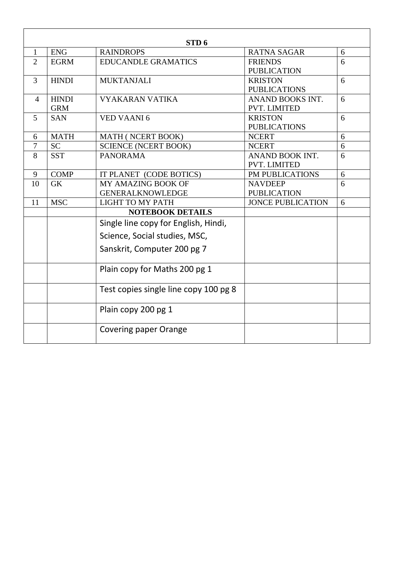|                |              | STD <sub>6</sub>                      |                          |   |
|----------------|--------------|---------------------------------------|--------------------------|---|
| $\mathbf{1}$   | <b>ENG</b>   | <b>RAINDROPS</b>                      | <b>RATNA SAGAR</b>       | 6 |
| 2              | <b>EGRM</b>  | <b>EDUCANDLE GRAMATICS</b>            | <b>FRIENDS</b>           | 6 |
|                |              |                                       | <b>PUBLICATION</b>       |   |
| 3              | <b>HINDI</b> | <b>MUKTANJALI</b>                     | <b>KRISTON</b>           | 6 |
|                |              |                                       | <b>PUBLICATIONS</b>      |   |
| $\overline{4}$ | <b>HINDI</b> | <b>VYAKARAN VATIKA</b>                | ANAND BOOKS INT.         | 6 |
|                | <b>GRM</b>   |                                       | <b>PVT. LIMITED</b>      |   |
| 5              | <b>SAN</b>   | <b>VED VAANI6</b>                     | <b>KRISTON</b>           | 6 |
|                |              |                                       | <b>PUBLICATIONS</b>      |   |
| 6              | <b>MATH</b>  | MATH (NCERT BOOK)                     | <b>NCERT</b>             | 6 |
| $\overline{7}$ | <b>SC</b>    | <b>SCIENCE (NCERT BOOK)</b>           | <b>NCERT</b>             | 6 |
| 8              | <b>SST</b>   | <b>PANORAMA</b>                       | ANAND BOOK INT.          | 6 |
|                |              |                                       | <b>PVT. LIMITED</b>      |   |
| 9              | <b>COMP</b>  | IT PLANET (CODE BOTICS)               | PM PUBLICATIONS          | 6 |
| 10             | GK           | MY AMAZING BOOK OF                    | <b>NAVDEEP</b>           | 6 |
|                |              | <b>GENERALKNOWLEDGE</b>               | <b>PUBLICATION</b>       |   |
| 11             | <b>MSC</b>   | <b>LIGHT TO MY PATH</b>               | <b>JONCE PUBLICATION</b> | 6 |
|                |              | <b>NOTEBOOK DETAILS</b>               |                          |   |
|                |              | Single line copy for English, Hindi,  |                          |   |
|                |              | Science, Social studies, MSC,         |                          |   |
|                |              | Sanskrit, Computer 200 pg 7           |                          |   |
|                |              | Plain copy for Maths 200 pg 1         |                          |   |
|                |              | Test copies single line copy 100 pg 8 |                          |   |
|                |              | Plain copy 200 pg 1                   |                          |   |
|                |              | Covering paper Orange                 |                          |   |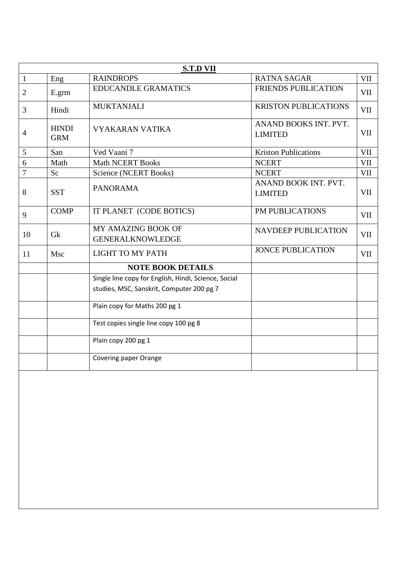|                |                            | <b>S.T.D VII</b>                                                                                  |                                         |            |
|----------------|----------------------------|---------------------------------------------------------------------------------------------------|-----------------------------------------|------------|
| $\mathbf{1}$   | Eng                        | <b>RAINDROPS</b>                                                                                  | <b>RATNA SAGAR</b>                      | <b>VII</b> |
| $\overline{2}$ | E.grm                      | <b>EDUCANDLE GRAMATICS</b>                                                                        | <b>FRIENDS PUBLICATION</b>              | VII        |
| 3              | Hindi                      | <b>MUKTANJALI</b>                                                                                 | <b>KRISTON PUBLICATIONS</b>             | <b>VII</b> |
| $\overline{4}$ | <b>HINDI</b><br><b>GRM</b> | <b>VYAKARAN VATIKA</b>                                                                            | ANAND BOOKS INT. PVT.<br><b>LIMITED</b> | VII        |
| 5              | San                        | Ved Vaani 7                                                                                       | <b>Kriston Publications</b>             | <b>VII</b> |
| 6              | Math                       | <b>Math NCERT Books</b>                                                                           | <b>NCERT</b>                            | <b>VII</b> |
| 7              | Sc                         | Science (NCERT Books)                                                                             | <b>NCERT</b>                            | <b>VII</b> |
| 8              | <b>SST</b>                 | <b>PANORAMA</b>                                                                                   | ANAND BOOK INT. PVT.<br><b>LIMITED</b>  | <b>VII</b> |
| 9              | <b>COMP</b>                | IT PLANET (CODE BOTICS)                                                                           | <b>PM PUBLICATIONS</b>                  | <b>VII</b> |
| 10             | Gk                         | MY AMAZING BOOK OF<br><b>GENERALKNOWLEDGE</b>                                                     | <b>NAVDEEP PUBLICATION</b>              | <b>VII</b> |
| 11             | Msc                        | <b>LIGHT TO MY PATH</b>                                                                           | <b>JONCE PUBLICATION</b>                | <b>VII</b> |
|                |                            | <b>NOTE BOOK DETAILS</b>                                                                          |                                         |            |
|                |                            | Single line copy for English, Hindi, Science, Social<br>studies, MSC, Sanskrit, Computer 200 pg 7 |                                         |            |
|                |                            | Plain copy for Maths 200 pg 1                                                                     |                                         |            |
|                |                            | Test copies single line copy 100 pg 8                                                             |                                         |            |
|                |                            | Plain copy 200 pg 1                                                                               |                                         |            |
|                |                            | Covering paper Orange                                                                             |                                         |            |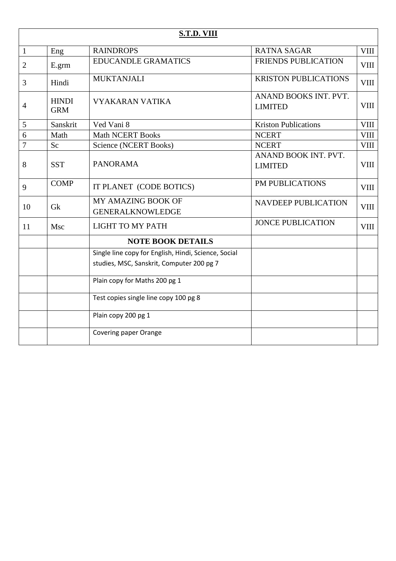|                |                            | S.T.D. VIII                                                                                       |                                         |             |
|----------------|----------------------------|---------------------------------------------------------------------------------------------------|-----------------------------------------|-------------|
| $\mathbf{1}$   | Eng                        | <b>RAINDROPS</b>                                                                                  | <b>RATNA SAGAR</b>                      | <b>VIII</b> |
| 2              | E.grm                      | <b>EDUCANDLE GRAMATICS</b>                                                                        | <b>FRIENDS PUBLICATION</b>              | <b>VIII</b> |
| 3              | Hindi                      | <b>MUKTANJALI</b>                                                                                 | <b>KRISTON PUBLICATIONS</b>             | VIII        |
| $\overline{4}$ | <b>HINDI</b><br><b>GRM</b> | <b>VYAKARAN VATIKA</b>                                                                            | ANAND BOOKS INT. PVT.<br><b>LIMITED</b> | <b>VIII</b> |
| 5              | Sanskrit                   | Ved Vani 8                                                                                        | <b>Kriston Publications</b>             | <b>VIII</b> |
| 6              | Math                       | <b>Math NCERT Books</b>                                                                           | <b>NCERT</b>                            | <b>VIII</b> |
| $\overline{7}$ | Sc                         | Science (NCERT Books)                                                                             | <b>NCERT</b>                            | <b>VIII</b> |
| 8              | <b>SST</b>                 | <b>PANORAMA</b>                                                                                   | ANAND BOOK INT. PVT.<br><b>LIMITED</b>  | <b>VIII</b> |
| 9              | <b>COMP</b>                | IT PLANET (CODE BOTICS)                                                                           | PM PUBLICATIONS                         | VIII        |
| 10             | Gk                         | MY AMAZING BOOK OF<br><b>GENERALKNOWLEDGE</b>                                                     | <b>NAVDEEP PUBLICATION</b>              | VIII        |
| 11             | Msc                        | <b>LIGHT TO MY PATH</b>                                                                           | <b>JONCE PUBLICATION</b>                | VIII        |
|                |                            | <b>NOTE BOOK DETAILS</b>                                                                          |                                         |             |
|                |                            | Single line copy for English, Hindi, Science, Social<br>studies, MSC, Sanskrit, Computer 200 pg 7 |                                         |             |
|                |                            | Plain copy for Maths 200 pg 1                                                                     |                                         |             |
|                |                            | Test copies single line copy 100 pg 8                                                             |                                         |             |
|                |                            | Plain copy 200 pg 1                                                                               |                                         |             |
|                |                            | Covering paper Orange                                                                             |                                         |             |